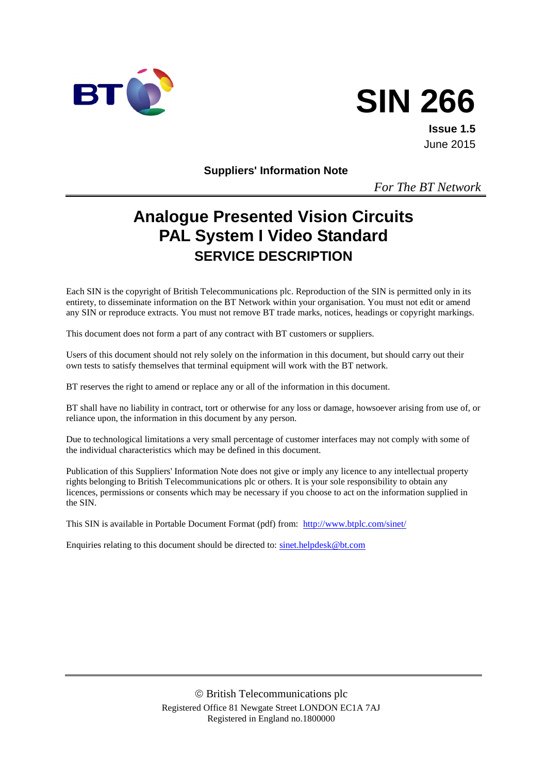



**Issue 1.5** June 2015

**Suppliers' Information Note**

*For The BT Network*

# **Analogue Presented Vision Circuits PAL System I Video Standard SERVICE DESCRIPTION**

Each SIN is the copyright of British Telecommunications plc. Reproduction of the SIN is permitted only in its entirety, to disseminate information on the BT Network within your organisation. You must not edit or amend any SIN or reproduce extracts. You must not remove BT trade marks, notices, headings or copyright markings.

This document does not form a part of any contract with BT customers or suppliers.

Users of this document should not rely solely on the information in this document, but should carry out their own tests to satisfy themselves that terminal equipment will work with the BT network.

BT reserves the right to amend or replace any or all of the information in this document.

BT shall have no liability in contract, tort or otherwise for any loss or damage, howsoever arising from use of, or reliance upon, the information in this document by any person.

Due to technological limitations a very small percentage of customer interfaces may not comply with some of the individual characteristics which may be defined in this document.

Publication of this Suppliers' Information Note does not give or imply any licence to any intellectual property rights belonging to British Telecommunications plc or others. It is your sole responsibility to obtain any licences, permissions or consents which may be necessary if you choose to act on the information supplied in the SIN.

This SIN is available in Portable Document Format (pdf) from: <http://www.btplc.com/sinet/>

Enquiries relating to this document should be directed to: [sinet.helpdesk@bt.com](mailto:sinet.helpdesk@bt.com)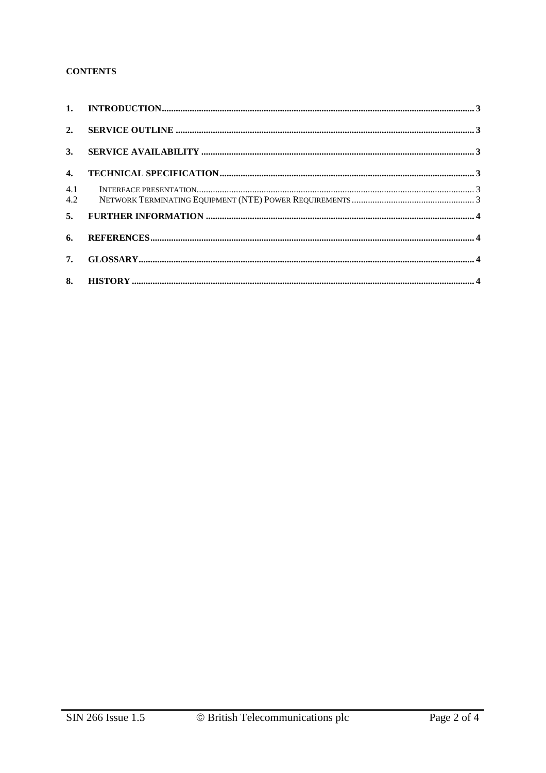#### **CONTENTS**

| 4.  |  |
|-----|--|
| 4.1 |  |
|     |  |
| 6.  |  |
|     |  |
|     |  |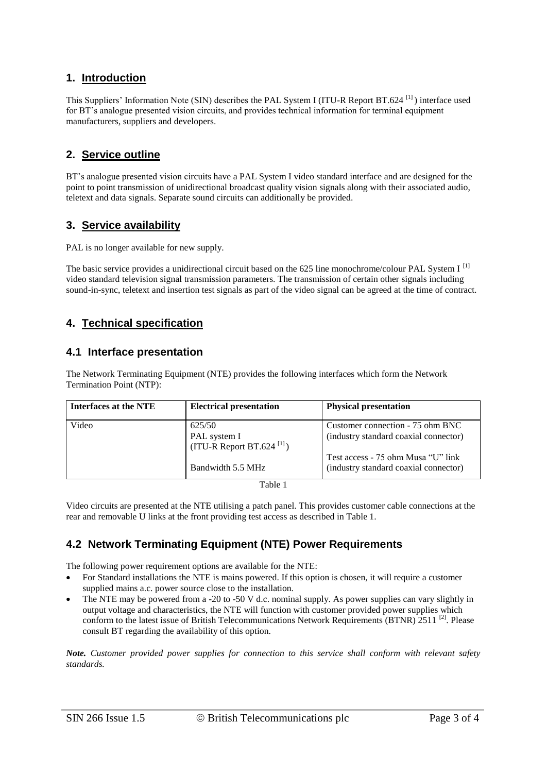### **1. Introduction**

This Suppliers' Information Note (SIN) describes the PAL System I (ITU-R Report BT.624 [1] ) interface used for BT's analogue presented vision circuits, and provides technical information for terminal equipment manufacturers, suppliers and developers.

### **2. Service outline**

BT's analogue presented vision circuits have a PAL System I video standard interface and are designed for the point to point transmission of unidirectional broadcast quality vision signals along with their associated audio, teletext and data signals. Separate sound circuits can additionally be provided.

### **3. Service availability**

PAL is no longer available for new supply.

The basic service provides a unidirectional circuit based on the 625 line monochrome/colour PAL System I  $^{[1]}$ video standard television signal transmission parameters. The transmission of certain other signals including sound-in-sync, teletext and insertion test signals as part of the video signal can be agreed at the time of contract.

### **4. Technical specification**

#### **4.1 Interface presentation**

The Network Terminating Equipment (NTE) provides the following interfaces which form the Network Termination Point (NTP):

| Interfaces at the NTE | <b>Electrical presentation</b>                          | <b>Physical presentation</b>          |
|-----------------------|---------------------------------------------------------|---------------------------------------|
| Video                 | 625/50                                                  | Customer connection - 75 ohm BNC      |
|                       | PAL system I<br>$(ITU-R$ Report BT.624 <sup>[1]</sup> ) | (industry standard coaxial connector) |
|                       |                                                         | Test access - 75 ohm Musa "U" link    |
|                       | Bandwidth 5.5 MHz                                       | (industry standard coaxial connector) |
|                       | <b>m</b> 1 1 1                                          |                                       |

| ۹<br>×<br>۰,<br>I |  |
|-------------------|--|
|-------------------|--|

Video circuits are presented at the NTE utilising a patch panel. This provides customer cable connections at the rear and removable U links at the front providing test access as described in Table 1.

## **4.2 Network Terminating Equipment (NTE) Power Requirements**

The following power requirement options are available for the NTE:

- For Standard installations the NTE is mains powered. If this option is chosen, it will require a customer supplied mains a.c. power source close to the installation.
- The NTE may be powered from a -20 to -50 V d.c. nominal supply. As power supplies can vary slightly in output voltage and characteristics, the NTE will function with customer provided power supplies which conform to the latest issue of British Telecommunications Network Requirements (BTNR) 2511<sup>[2]</sup>. Please consult BT regarding the availability of this option.

*Note. Customer provided power supplies for connection to this service shall conform with relevant safety standards.*